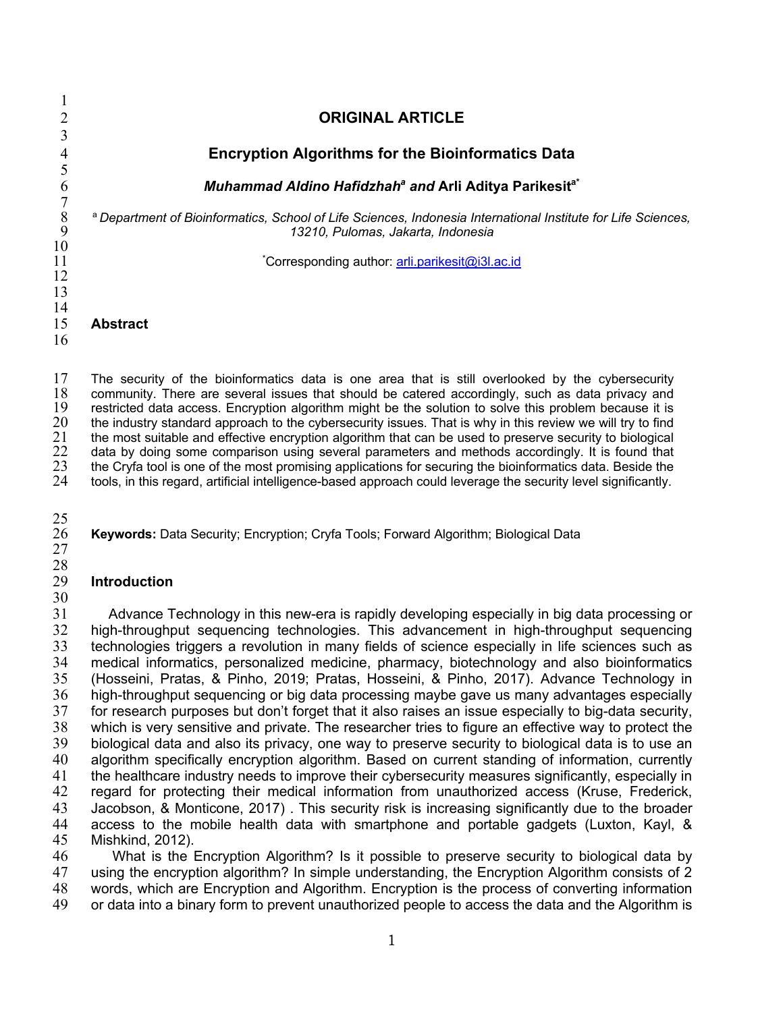**ORIGINAL ARTICLE Encryption Algorithms for the Bioinformatics Data**  $\frac{5}{6}$ *Muhammad Aldino Hafidzhaha and* **Arli Aditya Parikesita\***  $\begin{array}{c} 7 \\ 8 \\ 9 \end{array}$  <sup>a</sup>*Department of Bioinformatics, School of Life Sciences, Indonesia International Institute for Life Sciences, 13210, Pulomas, Jakarta, Indonesia*  $\frac{10}{11}$   $*$ Corresponding author: arli.parikesit@i3l.ac.id  $\frac{14}{15}$ Abstract 

17 The security of the bioinformatics data is one area that is still overlooked by the cybersecurity<br>18 community. There are several issues that should be catered accordingly, such as data privacy and 18 community. There are several issues that should be catered accordingly, such as data privacy and<br>19 restricted data access. Encryption algorithm might be the solution to solve this problem because it is 19 restricted data access. Encryption algorithm might be the solution to solve this problem because it is 20 the industry standard approach to the cybersecurity issues. That is why in this review we will try to find 20 the industry standard approach to the cybersecurity issues. That is why in this review we will try to find<br>21 the most suitable and effective encryption algorithm that can be used to preserve security to biological 21 the most suitable and effective encryption algorithm that can be used to preserve security to biological<br>22 data by doing some comparison using several parameters and methods accordingly. It is found that 22 data by doing some comparison using several parameters and methods accordingly. It is found that<br>23 the Cryfa tool is one of the most promising applications for securing the bioinformatics data. Beside the 23 the Cryfa tool is one of the most promising applications for securing the bioinformatics data. Beside the 24 tools, in this regard, artificial intelligence-based approach could leverage the security level significantly. tools, in this regard, artificial intelligence-based approach could leverage the security level significantly.

 $\frac{25}{26}$ 

**Keywords:** Data Security; Encryption; Cryfa Tools; Forward Algorithm; Biological Data

### 

### **Introduction**

 $\frac{30}{31}$ 

Advance Technology in this new-era is rapidly developing especially in big data processing or high-throughput sequencing technologies. This advancement in high-throughput sequencing technologies triggers a revolution in many fields of science especially in life sciences such as medical informatics, personalized medicine, pharmacy, biotechnology and also bioinformatics (Hosseini, Pratas, & Pinho, 2019; Pratas, Hosseini, & Pinho, 2017). Advance Technology in 36 high-throughput sequencing or big data processing maybe gave us many advantages especially<br>37 for research purposes but don't forget that it also raises an issue especially to big-data security, for research purposes but don't forget that it also raises an issue especially to big-data security, which is very sensitive and private. The researcher tries to figure an effective way to protect the biological data and also its privacy, one way to preserve security to biological data is to use an algorithm specifically encryption algorithm. Based on current standing of information, currently the healthcare industry needs to improve their cybersecurity measures significantly, especially in regard for protecting their medical information from unauthorized access (Kruse, Frederick, Jacobson, & Monticone, 2017) . This security risk is increasing significantly due to the broader access to the mobile health data with smartphone and portable gadgets (Luxton, Kayl, & Mishkind, 2012).

46 What is the Encryption Algorithm? Is it possible to preserve security to biological data by<br>47 using the encryption algorithm? In simple understanding, the Encryption Algorithm consists of 2 using the encryption algorithm? In simple understanding, the Encryption Algorithm consists of 2 words, which are Encryption and Algorithm. Encryption is the process of converting information or data into a binary form to prevent unauthorized people to access the data and the Algorithm is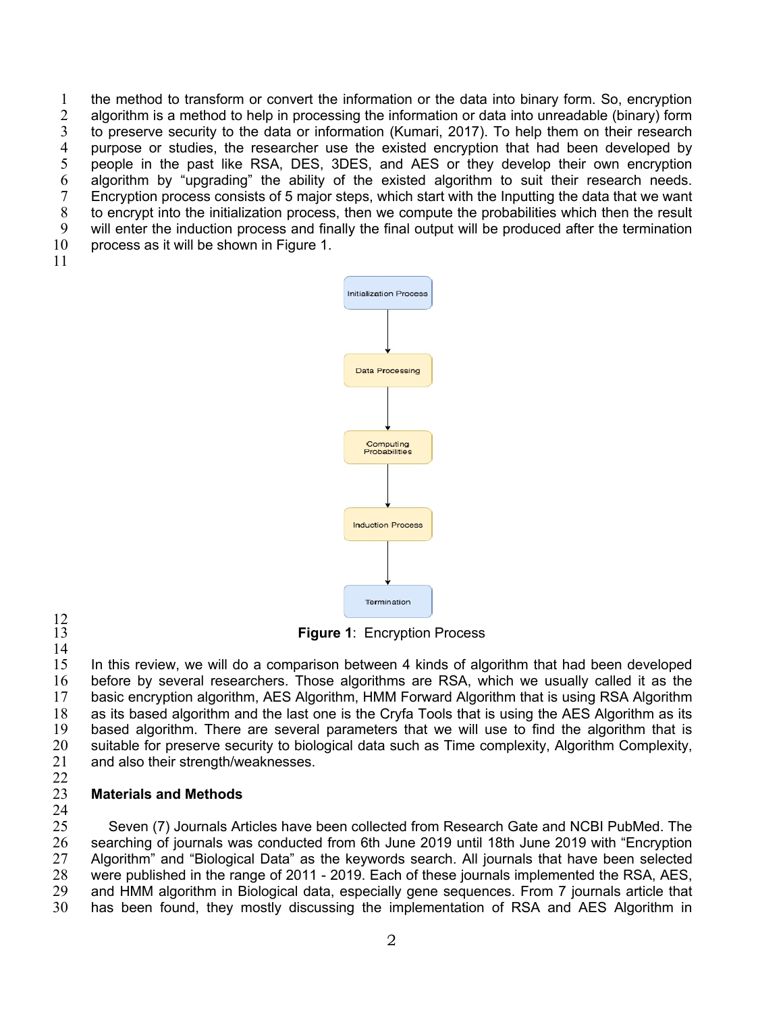1 the method to transform or convert the information or the data into binary form. So, encryption 2 algorithm is a method to help in processing the information or data into unreadable (binary) form 3 to preserve security to the data or information (Kumari, 2017). To help them on their research<br>4 purpose or studies, the researcher use the existed encryption that had been developed by 4 purpose or studies, the researcher use the existed encryption that had been developed by<br>5 people in the past like RSA, DES, 3DES, and AES or they develop their own encryption 5 people in the past like RSA, DES, 3DES, and AES or they develop their own encryption 6 algorithm by "upgrading" the ability of the existed algorithm to suit their research needs.<br>7 Encryption process consists of 5 major steps, which start with the Inputting the data that we want 7 Encryption process consists of 5 major steps, which start with the Inputting the data that we want <br>8 to encrypt into the initialization process, then we compute the probabilities which then the result 8 to encrypt into the initialization process, then we compute the probabilities which then the result<br>9 will enter the induction process and finally the final output will be produced after the termination will enter the induction process and finally the final output will be produced after the termination 10 process as it will be shown in Figure 1.  $b$  produced after the termination produced by  $b$ 

11





14

13 **Figure 1**: Encryption Process Figure 1. Encryption Process

15 In this review, we will do a comparison between 4 kinds of algorithm that had been developed 16 before by several researchers. Those algorithms are RSA, which we usually called it as the 17 basic encryption algorithm, AES Algorithm, HMM Forward Algorithm that is using RSA Algorithm as its based algorithm and the last one is the Cryfa Tools that is using the AES Algorithm as its as its based algorithm and the last one is the Cryfa Tools that is using the AES Algorithm as its 19 based algorithm. There are several parameters that we will use to find the algorithm that is 20 suitable for preserve security to biological data such as Time complexity, Algorithm Complexity, 21 and also their strength/weaknesses. gorithm and the last one is the Cryla Tools that is using the  $A \in S$ II. METHODOLOGY I

 $\frac{22}{23}$ 

#### **23 Materials and Methods 6 Journals Articles has been collected from Research Gate and NCBI PubMed.**  $T$

24

25 Seven (7) Journals Articles have been collected from Research Gate and NCBI PubMed. The 26 searching of journals was conducted from 6th June 2019 until 18th June 2019 with "Encryption<br>27 Algorithm" and "Biological Data" as the keywords search. All journals that have been selected Algorithm" and "Biological Data" as the keywords search. All journals that have been selected were published in the range of 2011 - 2019. Each of these journals implemented the RSA, AES, and HMM algorithm in Biological data, especially gene sequences. From 7 journals article that has been found, they mostly discussing the implementation of RSA and AES Algorithm in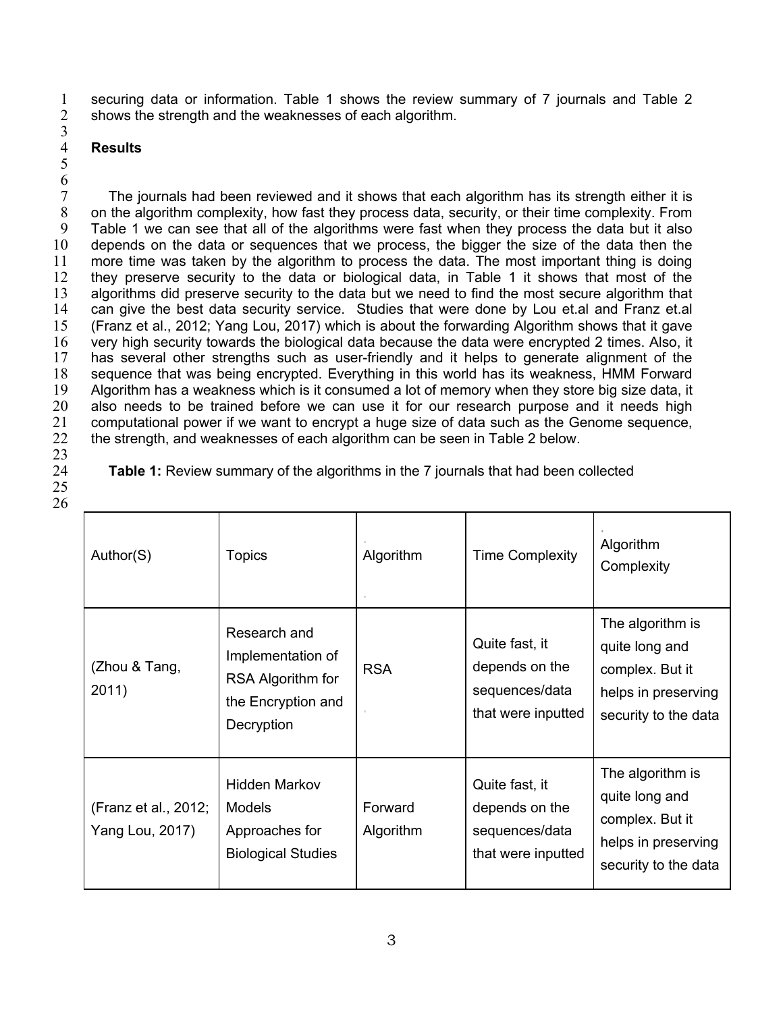1 securing data or information. Table 1 shows the review summary of 7 journals and Table 2<br>2 shows the strength and the weaknesses of each algorithm. shows the strength and the weaknesses of each algorithm. 3

## 4 **Results**

 $\frac{4}{5}$ 

 $\frac{6}{7}$ The journals had been reviewed and it shows that each algorithm has its strength either it is<br>8 on the algorithm complexity, how fast they process data, security, or their time complexity. From 8 on the algorithm complexity, how fast they process data, security, or their time complexity. From<br>9 Table 1 we can see that all of the algorithms were fast when they process the data but it also Table 1 we can see that all of the algorithms were fast when they process the data but it also 10 depends on the data or sequences that we process, the bigger the size of the data then the 11 more time was taken by the algorithm to process the data. The most important thing is doing 12 they preserve security to the data or biological data, in Table 1 it shows that most of the 13 algorithms did preserve security to the data but we need to find the most secure algorithm that 14 can give the best data security service. Studies that were done by Lou et al and Franz et al can give the best data security service. Studies that were done by Lou et.al and Franz et.al 15 (Franz et al., 2012; Yang Lou, 2017) which is about the forwarding Algorithm shows that it gave 16 very high security towards the biological data because the data were encrypted 2 times. Also, it<br>17 has several other strengths such as user-friendly and it helps to generate alignment of the has several other strengths such as user-friendly and it helps to generate alignment of the 18 sequence that was being encrypted. Everything in this world has its weakness, HMM Forward 19 Algorithm has a weakness which is it consumed a lot of memory when they store big size data, it 20 also needs to be trained before we can use it for our research purpose and it needs high 21 computational power if we want to encrypt a huge size of data such as the Genome sequence,<br>22 the strength, and weaknesses of each algorithm can be seen in Table 2 below. 22 the strength, and weaknesses of each algorithm can be seen in Table 2 below.

 $\frac{23}{24}$ 25

26

| Author(S)                               | <b>Topics</b>                                                                              | Algorithm            | <b>Time Complexity</b>                                                   | Algorithm<br>Complexity                                                                              |
|-----------------------------------------|--------------------------------------------------------------------------------------------|----------------------|--------------------------------------------------------------------------|------------------------------------------------------------------------------------------------------|
| (Zhou & Tang,<br>2011)                  | Research and<br>Implementation of<br>RSA Algorithm for<br>the Encryption and<br>Decryption | <b>RSA</b>           | Quite fast, it<br>depends on the<br>sequences/data<br>that were inputted | The algorithm is<br>quite long and<br>complex. But it<br>helps in preserving<br>security to the data |
| (Franz et al., 2012;<br>Yang Lou, 2017) | <b>Hidden Markov</b><br><b>Models</b><br>Approaches for<br><b>Biological Studies</b>       | Forward<br>Algorithm | Quite fast, it<br>depends on the<br>sequences/data<br>that were inputted | The algorithm is<br>quite long and<br>complex. But it<br>helps in preserving<br>security to the data |

**Table 1:** Review summary of the algorithms in the 7 journals that had been collected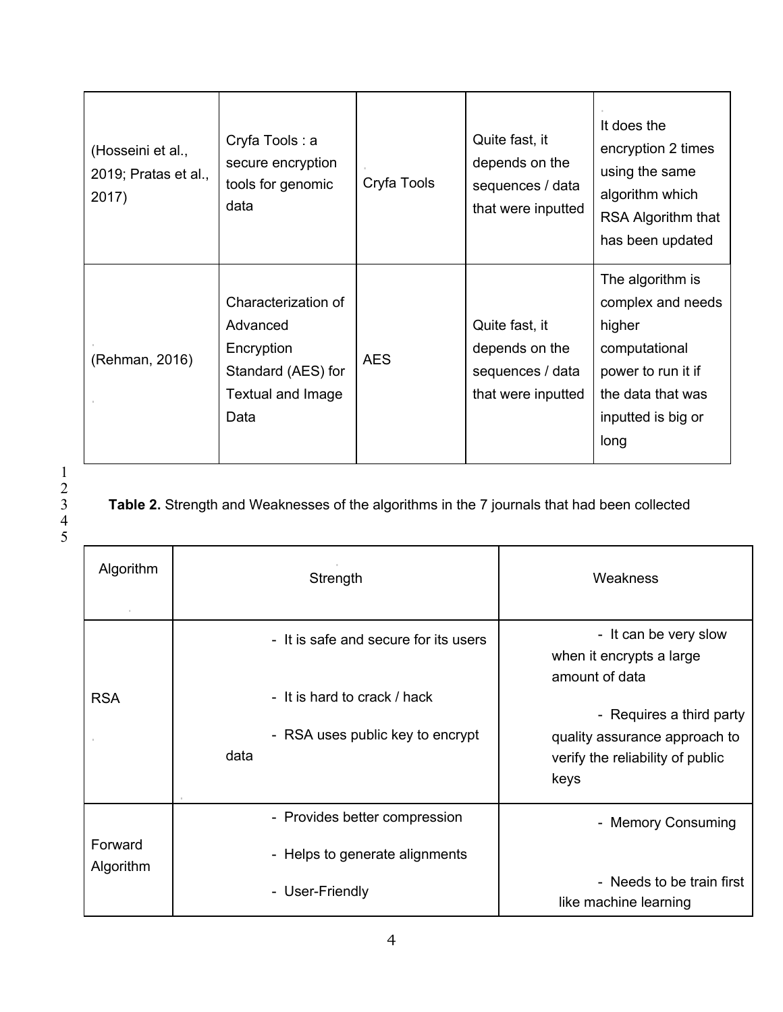| (Hosseini et al.,<br>2019; Pratas et al.,<br>2017) | Cryfa Tools: a<br>secure encryption<br>tools for genomic<br>data                                 | Cryfa Tools | Quite fast, it<br>depends on the<br>sequences / data<br>that were inputted | It does the<br>encryption 2 times<br>using the same<br>algorithm which<br>RSA Algorithm that<br>has been updated                          |
|----------------------------------------------------|--------------------------------------------------------------------------------------------------|-------------|----------------------------------------------------------------------------|-------------------------------------------------------------------------------------------------------------------------------------------|
| (Rehman, 2016)                                     | Characterization of<br>Advanced<br>Encryption<br>Standard (AES) for<br>Textual and Image<br>Data | <b>AES</b>  | Quite fast, it<br>depends on the<br>sequences / data<br>that were inputted | The algorithm is<br>complex and needs<br>higher<br>computational<br>power to run it if<br>the data that was<br>inputted is big or<br>long |

Table 2. Strength and Weaknesses of the algorithms in the 7 journals that had been collected

| Algorithm            | Strength                                                                                                          | Weakness                                                                                                                                                                     |
|----------------------|-------------------------------------------------------------------------------------------------------------------|------------------------------------------------------------------------------------------------------------------------------------------------------------------------------|
| <b>RSA</b>           | - It is safe and secure for its users<br>- It is hard to crack / hack<br>- RSA uses public key to encrypt<br>data | - It can be very slow<br>when it encrypts a large<br>amount of data<br>- Requires a third party<br>quality assurance approach to<br>verify the reliability of public<br>keys |
| Forward<br>Algorithm | - Provides better compression<br>- Helps to generate alignments<br>- User-Friendly                                | - Memory Consuming<br>- Needs to be train first<br>like machine learning                                                                                                     |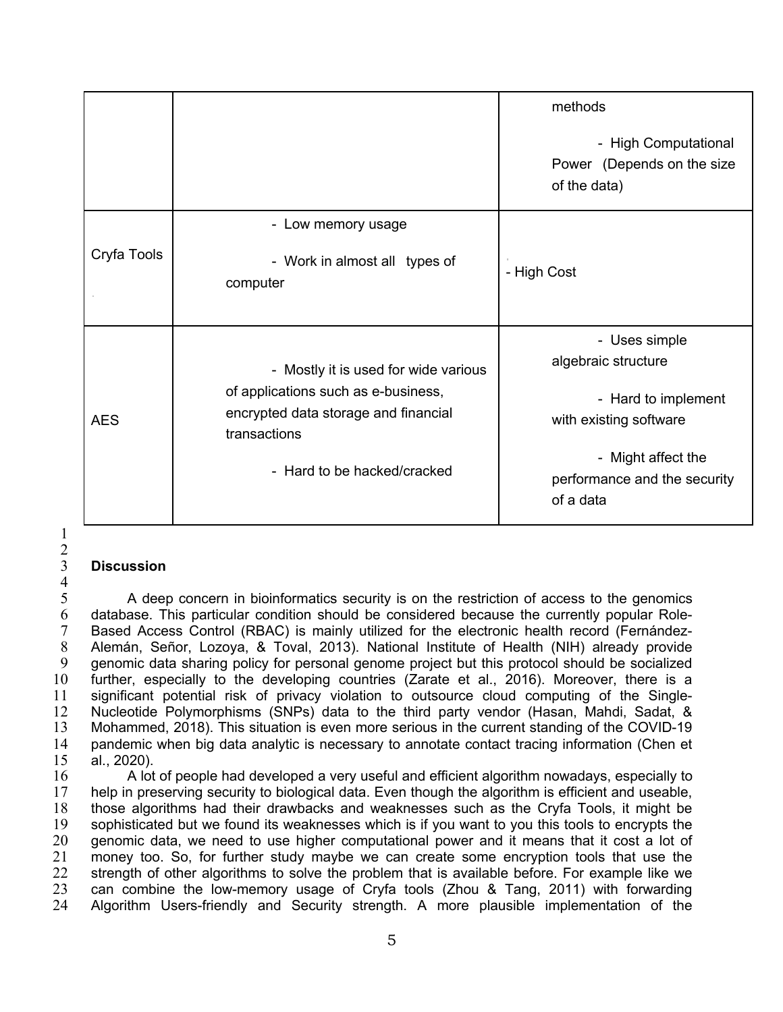|             |                                                                                                                                                                    | methods<br>- High Computational<br>Power (Depends on the size<br>of the data)                                                                            |
|-------------|--------------------------------------------------------------------------------------------------------------------------------------------------------------------|----------------------------------------------------------------------------------------------------------------------------------------------------------|
| Cryfa Tools | - Low memory usage<br>- Work in almost all types of<br>computer                                                                                                    | - High Cost                                                                                                                                              |
| <b>AES</b>  | - Mostly it is used for wide various<br>of applications such as e-business,<br>encrypted data storage and financial<br>transactions<br>- Hard to be hacked/cracked | - Uses simple<br>algebraic structure<br>- Hard to implement<br>with existing software<br>- Might affect the<br>performance and the security<br>of a data |

# 1  $\frac{2}{3}$

## 3 **Discussion**

 $\frac{4}{5}$ 5 A deep concern in bioinformatics security is on the restriction of access to the genomics<br>6 database. This particular condition should be considered because the currently popular Role-6 database. This particular condition should be considered because the currently popular Role-<br>6 Based Access Control (RBAC) is mainly utilized for the electronic health record (Fernández-7 Based Access Control (RBAC) is mainly utilized for the electronic health record (Fernández-<br>8 Alemán, Señor, Lozoya, & Toval, 2013). National Institute of Health (NIH) already provide 8 Alemán, Señor, Lozoya, & Toval, 2013). National Institute of Health (NIH) already provide<br>9 aenomic data sharing policy for personal genome proiect but this protocol should be socialized 9 genomic data sharing policy for personal genome project but this protocol should be socialized 10 further, especially to the developing countries (Zarate et al., 2016). Moreover, there is a 11 significant potential risk of privacy violation to outsource cloud computing of the Single-<br>12 Nucleotide Polymorphisms (SNPs) data to the third party vendor (Hasan, Mahdi, Sadat, & 12 Nucleotide Polymorphisms (SNPs) data to the third party vendor (Hasan, Mahdi, Sadat, & 13 Mohammed, 2018). This situation is even more serious in the current standing of the COVID-19 14 pandemic when big data analytic is necessary to annotate contact tracing information (Chen et 15 al., 2020).

16 A lot of people had developed a very useful and efficient algorithm nowadays, especially to 17 help in preserving security to biological data. Even though the algorithm is efficient and useable,<br>18 those algorithms had their drawbacks and weaknesses such as the Cryfa Tools, it might be 18 those algorithms had their drawbacks and weaknesses such as the Cryfa Tools, it might be sophisticated but we found its weaknesses which is if you want to you this tools to encrypts the sophisticated but we found its weaknesses which is if you want to you this tools to encrypts the 20 genomic data, we need to use higher computational power and it means that it cost a lot of 21 money too. So, for further study maybe we can create some encryption tools that use the<br>22 strength of other algorithms to solve the problem that is available before. For example like we strength of other algorithms to solve the problem that is available before. For example like we 23 can combine the low-memory usage of Cryfa tools (Zhou & Tang, 2011) with forwarding 24 Algorithm Users-friendly and Security strength. A more plausible implementation of the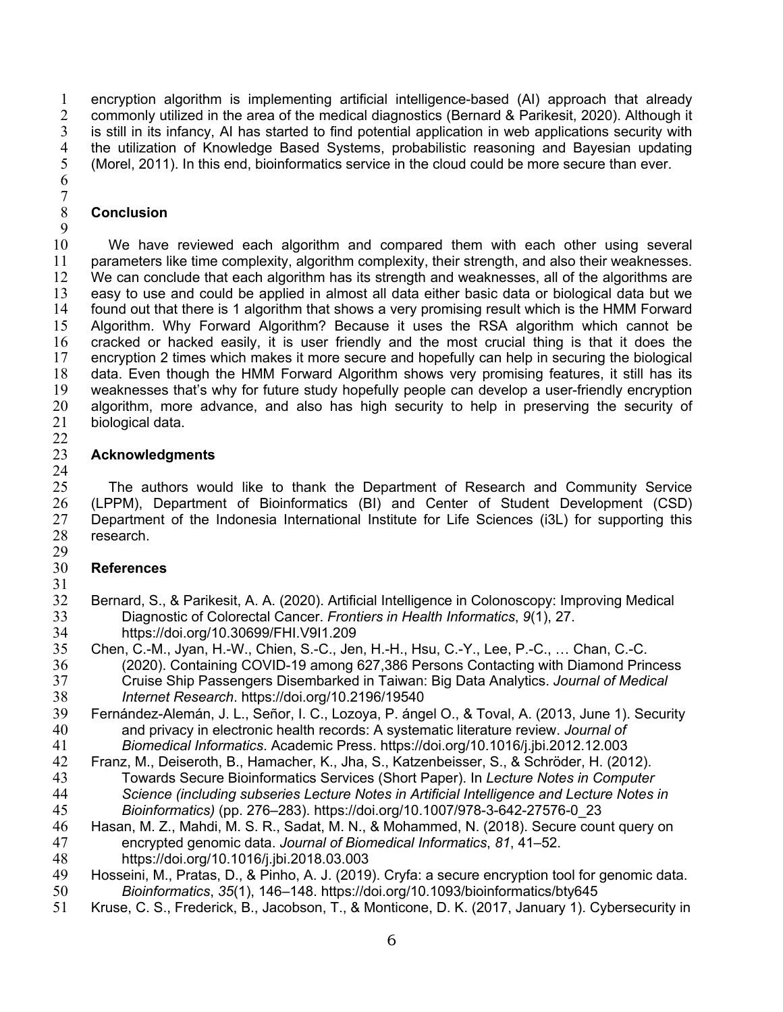encryption algorithm is implementing artificial intelligence-based (AI) approach that already 2 commonly utilized in the area of the medical diagnostics (Bernard & Parikesit, 2020). Although it 3 is still in its infancy, AI has started to find potential application in web applications security with<br>4 the utilization of Knowledge Based Systems, probabilistic reasoning and Bayesian updating 4 the utilization of Knowledge Based Systems, probabilistic reasoning and Bayesian updating<br>5 (Morel, 2011). In this end, bioinformatics service in the cloud could be more secure than ever. (Morel, 2011). In this end, bioinformatics service in the cloud could be more secure than ever.

  $\begin{array}{c} 7 \\ 8 \end{array}$ 

### **Conclusion**

 We have reviewed each algorithm and compared them with each other using several parameters like time complexity, algorithm complexity, their strength, and also their weaknesses. We can conclude that each algorithm has its strength and weaknesses, all of the algorithms are 13 easy to use and could be applied in almost all data either basic data or biological data but we<br>14 found out that there is 1 algorithm that shows a very promising result which is the HMM Forward 14 found out that there is 1 algorithm that shows a very promising result which is the HMM Forward<br>15 Algorithm. Why Forward Algorithm? Because it uses the RSA algorithm which cannot be Algorithm. Why Forward Algorithm? Because it uses the RSA algorithm which cannot be 16 cracked or hacked easily, it is user friendly and the most crucial thing is that it does the 17 encryption 2 times which makes it more secure and hopefully can help in securing the biological encryption 2 times which makes it more secure and hopefully can help in securing the biological data. Even though the HMM Forward Algorithm shows very promising features, it still has its weaknesses that's why for future study hopefully people can develop a user-friendly encryption algorithm, more advance, and also has high security to help in preserving the security of biological data.

### $\frac{22}{23}$  **Acknowledgments**

 The authors would like to thank the Department of Research and Community Service 26 (LPPM), Department of Bioinformatics (BI) and Center of Student Development (CSD)<br>27 Department of the Indonesia International Institute for Life Sciences (i3L) for supporting this Department of the Indonesia International Institute for Life Sciences (i3L) for supporting this research. 

## **References**

- 
- Bernard, S., & Parikesit, A. A. (2020). Artificial Intelligence in Colonoscopy: Improving Medical Diagnostic of Colorectal Cancer. *Frontiers in Health Informatics*, *9*(1), 27.
- 34 https://doi.org/10.30699/FHI.V9I1.209<br>35 Chen, C.-M., Jyan, H.-W., Chien, S.-C., Jer Chen, C.-M., Jyan, H.-W., Chien, S.-C., Jen, H.-H., Hsu, C.-Y., Lee, P.-C., … Chan, C.-C. (2020). Containing COVID-19 among 627,386 Persons Contacting with Diamond Princess Cruise Ship Passengers Disembarked in Taiwan: Big Data Analytics. *Journal of Medical Internet Research*. https://doi.org/10.2196/19540
- Fernández-Alemán, J. L., Señor, I. C., Lozoya, P. ángel O., & Toval, A. (2013, June 1). Security and privacy in electronic health records: A systematic literature review. *Journal of Biomedical Informatics*. Academic Press. https://doi.org/10.1016/j.jbi.2012.12.003
- Franz, M., Deiseroth, B., Hamacher, K., Jha, S., Katzenbeisser, S., & Schröder, H. (2012).
- Towards Secure Bioinformatics Services (Short Paper). In *Lecture Notes in Computer Science (including subseries Lecture Notes in Artificial Intelligence and Lecture Notes in Bioinformatics)* (pp. 276–283). https://doi.org/10.1007/978-3-642-27576-0\_23
- Hasan, M. Z., Mahdi, M. S. R., Sadat, M. N., & Mohammed, N. (2018). Secure count query on encrypted genomic data. *Journal of Biomedical Informatics*, *81*, 41–52.
- https://doi.org/10.1016/j.jbi.2018.03.003
- Hosseini, M., Pratas, D., & Pinho, A. J. (2019). Cryfa: a secure encryption tool for genomic data. *Bioinformatics*, *35*(1), 146–148. https://doi.org/10.1093/bioinformatics/bty645
- Kruse, C. S., Frederick, B., Jacobson, T., & Monticone, D. K. (2017, January 1). Cybersecurity in